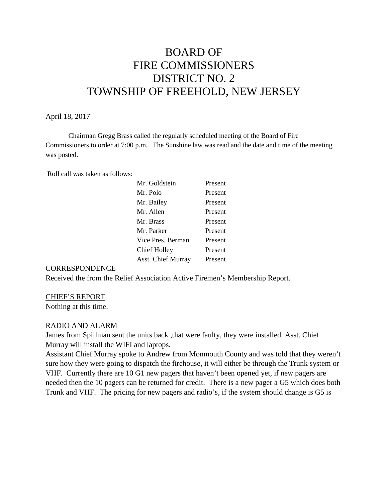# BOARD OF FIRE COMMISSIONERS DISTRICT NO. 2 TOWNSHIP OF FREEHOLD, NEW JERSEY

### April 18, 2017

Chairman Gregg Brass called the regularly scheduled meeting of the Board of Fire Commissioners to order at 7:00 p.m. The Sunshine law was read and the date and time of the meeting was posted.

Roll call was taken as follows:

| Mr. Goldstein             | Present |
|---------------------------|---------|
| Mr. Polo                  | Present |
| Mr. Bailey                | Present |
| Mr. Allen                 | Present |
| Mr. Brass                 | Present |
| Mr. Parker                | Present |
| Vice Pres. Berman         | Present |
| <b>Chief Holley</b>       | Present |
| <b>Asst. Chief Murray</b> | Present |

### **CORRESPONDENCE**

Received the from the Relief Association Active Firemen's Membership Report.

# CHIEF'S REPORT

Nothing at this time.

# RADIO AND ALARM

James from Spillman sent the units back ,that were faulty, they were installed. Asst. Chief Murray will install the WIFI and laptops.

Assistant Chief Murray spoke to Andrew from Monmouth County and was told that they weren't sure how they were going to dispatch the firehouse, it will either be through the Trunk system or VHF. Currently there are 10 G1 new pagers that haven't been opened yet, if new pagers are needed then the 10 pagers can be returned for credit. There is a new pager a G5 which does both Trunk and VHF. The pricing for new pagers and radio's, if the system should change is G5 is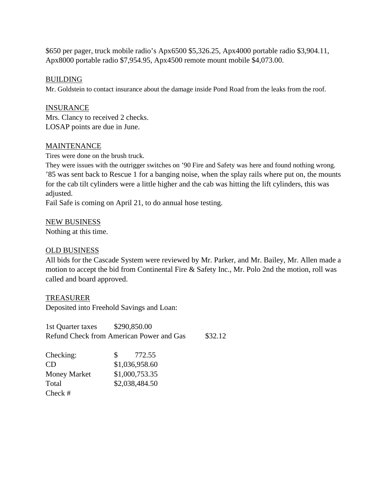\$650 per pager, truck mobile radio's Apx6500 \$5,326.25, Apx4000 portable radio \$3,904.11, Apx8000 portable radio \$7,954.95, Apx4500 remote mount mobile \$4,073.00.

# **BUILDING**

Mr. Goldstein to contact insurance about the damage inside Pond Road from the leaks from the roof.

# **INSURANCE**

Mrs. Clancy to received 2 checks. LOSAP points are due in June.

# **MAINTENANCE**

Tires were done on the brush truck.

They were issues with the outrigger switches on '90 Fire and Safety was here and found nothing wrong. '85 was sent back to Rescue 1 for a banging noise, when the splay rails where put on, the mounts for the cab tilt cylinders were a little higher and the cab was hitting the lift cylinders, this was adjusted.

Fail Safe is coming on April 21, to do annual hose testing.

NEW BUSINESS

Nothing at this time.

# OLD BUSINESS

All bids for the Cascade System were reviewed by Mr. Parker, and Mr. Bailey, Mr. Allen made a motion to accept the bid from Continental Fire & Safety Inc., Mr. Polo 2nd the motion, roll was called and board approved.

# TREASURER

Deposited into Freehold Savings and Loan:

1st Quarter taxes \$290,850.00 Refund Check from American Power and Gas \$32.12

| Checking:           | 772.55<br>S.   |
|---------------------|----------------|
| CD                  | \$1,036,958.60 |
| <b>Money Market</b> | \$1,000,753.35 |
| Total               | \$2,038,484.50 |
| $Check \#$          |                |